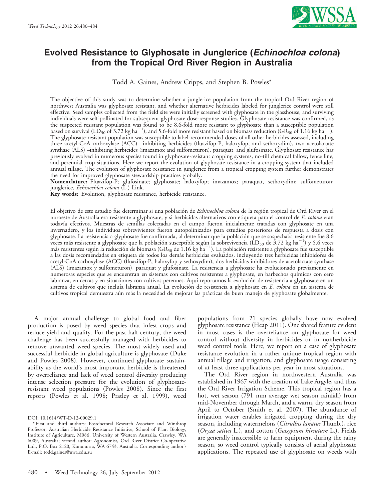

# Evolved Resistance to Glyphosate in Junglerice (Echinochloa colona) from the Tropical Ord River Region in Australia

Todd A. Gaines, Andrew Cripps, and Stephen B. Powles\*

The objective of this study was to determine whether a junglerice population from the tropical Ord River region of northwest Australia was glyphosate resistant, and whether alternative herbicides labeled for junglerice control were still effective. Seed samples collected from the field site were initially screened with glyphosate in the glasshouse, and surviving individuals were self-pollinated for subsequent glyphosate dose-response studies. Glyphosate resistance was confirmed, as the suspected resistant population was found to be 8.6-fold more resistant to glyphosate than a susceptible population based on survival  $(LD_{50}$  of 3.72 kg ha<sup>-1</sup>), and 5.6-fold more resistant based on biomass reduction (GR<sub>50</sub> of 1.16 kg ha<sup>-1</sup>). The glyphosate-resistant population was susceptible to label-recommended doses of all other herbicides assessed, including three acetyl-CoA carboxylase (ACC) –inhibiting herbicides (fluazifop-P, haloxyfop, and sethoxydim), two acetolactate synthase (ALS) –inhibiting herbicides (imazamox and sulfometuron), paraquat, and glufosinate. Glyphosate resistance has previously evolved in numerous species found in glyphosate-resistant cropping systems, no-till chemical fallow, fence line, and perennial crop situations. Here we report the evolution of glyphosate resistance in a cropping system that included annual tillage. The evolution of glyphosate resistance in junglerice from a tropical cropping system further demonstrates the need for improved glyphosate stewardship practices globally.

Nomenclature: Fluazifop-P; glufosinate; glyphosate; haloxyfop; imazamox; paraquat, sethoxydim; sulfometuron; junglerice, Echinochloa colona (L.) Link.

Key words: Evolution, glyphosate resistance, herbicide resistance.

El objetivo de este estudio fue determinar si una población de Echinochloa colona de la región tropical de Ord River en el noroeste de Australia era resistente a glyphosate, y si herbicidas alternativos con etiqueta para el control de E. colona eran todavía efectivos. Muestras de semillas colectadas en el campo fueron inicialmente tratadas con glyphosate en una invernadero, y los individuos sobrevivientes fueron autopolinizados para estudios posteriores de respuesta a dosis con glyphosate. La resistencia a glyphosate fue confirmada, al determinar que la población que se sospechaba resistente fue 8.6 veces más resistente a glyphosate que la población susceptible según la sobrevivencia (LD<sub>50</sub> de 3.72 kg ha $^{-1}$ ) y 5.6 veces más resistentes según la reducción de biomasa (GR<sub>50</sub> de 1.16 kg ha<sup>-1</sup>). La población resistente a glyphosate fue susceptible a las dosis recomendadas en etiqueta de todos los dema´s herbicidas evaluados, incluyendo tres herbicidas inhibidores de acetyl-CoA carboxylase (ACC) (fluazifop-P, haloxyfop y sethoxydim), dos herbicidas inhibidores de acetolactate synthase (ALS) (imazamox y sulfometuron), paraquat y glufosinate. La resistencia a glyphosate ha evolucionado previamente en numerosas especies que se encuentran en sistemas con cultivos resistentes a glyphosate, en barbechos quı´micos con cero labranza, en cercas y en situaciones con cultivos perennes. Aquí reportamos la evolución de resistencia a glyphosate en un sistema de cultivos que incluía labranza anual. La evolución de resistencia a glyphosate en E. colona en un sistema de cultivos tropical demuestra au´n ma´s la necesidad de mejorar las pra´cticas de buen manejo de glyphosate globalmente.

A major annual challenge to global food and fiber production is posed by weed species that infest crops and reduce yield and quality. For the past half century, the weed challenge has been successfully managed with herbicides to remove unwanted weed species. The most widely used and successful herbicide in global agriculture is glyphosate (Duke and Powles 2008). However, continued glyphosate sustainability as the world's most important herbicide is threatened by overreliance and lack of weed control diversity producing intense selection pressure for the evolution of glyphosateresistant weed populations (Powles 2008). Since the first reports (Powles et al. 1998; Pratley et al. 1999), weed

populations from 21 species globally have now evolved glyphosate resistance (Heap 2011). One shared feature evident in most cases is the overreliance on glyphosate for weed control without diversity in herbicides or in nonherbicide weed control tools. Here, we report on a case of glyphosate resistance evolution in a rather unique tropical region with annual tillage and irrigation, and glyphosate usage consisting of at least three applications per year in most situations.

The Ord River region in northwestern Australia was established in 1967 with the creation of Lake Argyle, and thus the Ord River Irrigation Scheme. This tropical region has a hot, wet season (791 mm average wet season rainfall) from mid-November through March, and a warm, dry season from April to October (Smith et al. 2007). The abundance of irrigation water enables irrigated cropping during the dry season, including watermelons (*Citrullus lanatus* Thunb.), rice (Oryza sativa L.), and cotton (Gossypium hirsutum L.). Fields are generally inaccessible to farm equipment during the rainy season, so weed control typically consists of aerial glyphosate applications. The repeated use of glyphosate on weeds with

DOI: 10.1614/WT-D-12-00029.1

<sup>\*</sup> First and third authors: Postdoctoral Research Associate and Winthrop Professor, Australian Herbicide Resistance Initiative, School of Plant Biology, Institute of Agriculture, M086, University of Western Australia, Crawley, WA 6009, Australia; second author: Agronomist, Ord River District Co-operative Ltd., P.O. Box 2120, Kununurra, WA 6743, Australia. Corresponding author's E-mail: todd.gaines@uwa.edu.au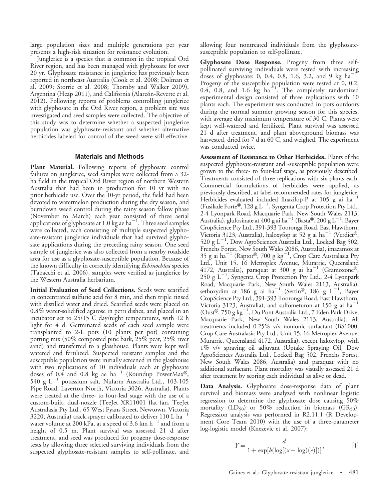large population sizes and multiple generations per year presents a high-risk situation for resistance evolution.

Junglerice is a species that is common in the tropical Ord River region, and has been managed with glyphosate for over 20 yr. Glyphosate resistance in junglerice has previously been reported in northeast Australia (Cook et al. 2008; Dolman et al. 2009; Storrie et al. 2008; Thornby and Walker 2009), Argentina (Heap 2011), and California (Alarcón-Reverte et al. 2012). Following reports of problems controlling junglerice with glyphosate in the Ord River region, a problem site was investigated and seed samples were collected. The objective of this study was to determine whether a suspected junglerice population was glyphosate-resistant and whether alternative herbicides labeled for control of the weed were still effective.

### Materials and Methods

Plant Material. Following reports of glyphosate control failures on junglerice, seed samples were collected from a 32 ha field in the tropical Ord River region of northern Western Australia that had been in production for 10 yr with no prior herbicide use. Over the 10-yr period, the field had been devoted to watermelon production during the dry season, and burndown weed control during the rainy season fallow phase (November to March) each year consisted of three aerial applications of glyphosate at 1.0 kg ae ha $^{-1}\!.$  Three seed samples were collected, each consisting of multiple suspected glyphosate-resistant junglerice individuals that had survived glyphosate applications during the preceding rainy season. One seed sample of junglerice was also collected from a nearby roadside area for use as a glyphosate-susceptible population. Because of the known difficulty in correctly identifying Echinochloa species (Tabacchi et al. 2006), samples were verified as junglerice by the Western Australia herbarium.

Initial Evaluation of Seed Collections. Seeds were scarified in concentrated sulfuric acid for 8 min, and then triple rinsed with distilled water and dried. Scarified seeds were placed on 0.8% water-solidified agarose in petri dishes, and placed in an incubator set to 25/15 C day/night temperatures, with 12 h light for 4 d. Germinated seeds of each seed sample were transplanted to 2-L pots (10 plants per pot) containing potting mix (50% composted pine bark, 25% peat, 25% river sand) and transferred to a glasshouse. Plants were kept well watered and fertilized. Suspected resistant samples and the susceptible population were initially screened in the glasshouse with two replications of 10 individuals each at glyphosate doses of 0.4 and 0.8 kg ae ha<sup>-1</sup> (Roundup PowerMax®, 540 g  $L^{-1}$  potassium salt, Nufarm Australia Ltd., 103-105 Pipe Road, Laverton North, Victoria 3026, Australia). Plants were treated at the three- to four-leaf stage with the use of a custom-built, dual-nozzle (TeeJet XR11001 flat fan, TeeJet Australasia Pty Ltd., 65 West Fyans Street, Newtown, Victoria 3220, Australia) track sprayer calibrated to deliver  $110$  L ha<sup>-1</sup> water volume at 200 kPa, at a speed of 3.6 km  $h^{-1}$  and from a height of 0.5 m. Plant survival was assessed 21 d after treatment, and seed was produced for progeny dose-response tests by allowing three selected surviving individuals from the suspected glyphosate-resistant samples to self-pollinate, and allowing four nontreated individuals from the glyphosatesusceptible population to self-pollinate.

Glyphosate Dose Response. Progeny from three selfpollinated surviving individuals were tested with increasing doses of glyphosate: 0, 0.4, 0.8, 1.6, 3.2, and 9 kg ha<sup>-1</sup>. Progeny of the susceptible population were tested at 0, 0.2,  $0.4, 0.8$ , and  $1.6$  kg ha<sup> $-1$ </sup>. The completely randomized experimental design consisted of three replications with 10 plants each. The experiment was conducted in pots outdoors during the normal summer growing season for this species, with average day maximum temperature of 30 C. Plants were kept well-watered and fertilized. Plant survival was assessed 21 d after treatment, and plant aboveground biomass was harvested, dried for 7 d at 60 C, and weighed. The experiment was conducted twice.

Assessment of Resistance to Other Herbicides. Plants of the suspected glyphosate-resistant and -susceptible population were grown to the three- to four-leaf stage, as previously described. Treatments consisted of three replications with six plants each. Commercial formulations of herbicides were applied, as previously described, at label-recommended rates for junglerice. Herbicides evaluated included fluazifop-P at 105 g ai  $ha^-$ (Fusilade Forte®, 128 g  $L^{-1}$ , Syngenta Crop Protection Pty Ltd., 2-4 Lyonpark Road, Macquarie Park, New South Wales 2113, Australia), glufosinate at 400 g ai ha $^{-1}$  (Basta®, 200 g L $^{-1}$ , Bayer CropScience Pty Ltd., 391-393 Tooronga Road, East Hawthorn, Victoria 3123, Australia), haloxyfop at 52 g ai ha<sup>-1</sup> (Verdict®, 520 g L<sup>-1</sup>, Dow AgroSciences Australia Ltd., Locked Bag 502, Frenchs Forest, New South Wales 2086, Australia), imazamox at 35 g ai ha $^{-1}$  (Raptor®, 700 g kg $^{-1}$ , Crop Care Australasia Pty Ltd., Unit 15, 16 Metroplex Avenue, Murarrie, Queensland 4172, Australia), paraquat at 300 g ai ha<sup>-1</sup> (Gramoxone®,  $250 \text{ g L}^{-1}$ , Syngenta Crop Protection Pty Ltd., 2-4 Lyonpark Road, Macquarie Park, New South Wales 2113, Australia), sethoxydim at 186 g ai ha<sup>-1</sup> (Sertin®, 186 g L<sup>-1</sup>, Bayer CropScience Pty Ltd., 391-393 Tooronga Road, East Hawthorn, Victoria 3123, Australia), and sulfometuron at 150 g ai  $ha^{-1}$ (Oust®, 750 g  $kg^{-1}$ , Du Pont Australia Ltd., 7 Eden Park Drive, Macquarie Park, New South Wales 2113, Australia). All treatments included 0.25% v/v nonionic surfactant (BS1000, Crop Care Australasia Pty Ltd., Unit 15, 16 Metroplex Avenue, Murarrie, Queensland 4172, Australia), except haloxyfop, with 1% v/v spraying oil adjuvant (Uptake Spraying Oil, Dow AgroSciences Australia Ltd., Locked Bag 502, Frenchs Forest, New South Wales 2086, Australia) and paraquat with no additional surfactant. Plant mortality was visually assessed 21 d after treatment by scoring each individual as alive or dead.

Data Analysis. Glyphosate dose-response data of plant survival and biomass were analyzed with nonlinear logistic regression to determine the glyphosate dose causing 50% mortality (LD<sub>50</sub>) or 50% reduction in biomass (GR<sub>50</sub>). Regression analysis was performed in R2.11.1 (R Development Core Team 2010) with the use of a three-parameter log-logistic model (Knezevic et al. 2007):

$$
Y = \frac{d}{1 + \exp[b(\log[(x - \log)(e)])]},
$$
 [1]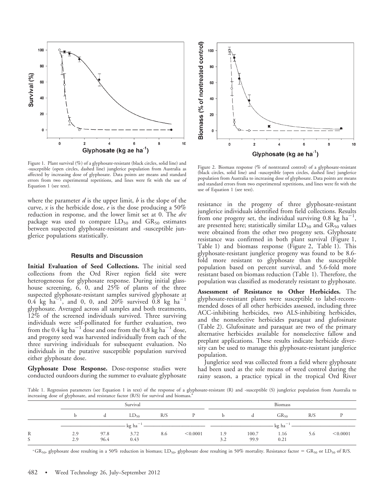

Figure 1. Plant survival (%) of a glyphosate-resistant (black circles, solid line) and -susceptible (open circles, dashed line) junglerice population from Australia as affected by increasing dose of glyphosate. Data points are means and standard errors from two experimental repetitions, and lines were fit with the use of Equation 1 (see text).

where the parameter  $d$  is the upper limit,  $b$  is the slope of the curve, x is the herbicide dose,  $e$  is the dose producing a 50% reduction in response, and the lower limit set at 0. The drc package was used to compare  $LD_{50}$  and  $GR_{50}$  estimates between suspected glyphosate-resistant and -susceptible junglerice populations statistically.

#### Results and Discussion

Initial Evaluation of Seed Collections. The initial seed collections from the Ord River region field site were heterogeneous for glyphosate response. During initial glasshouse screening, 6, 0, and 25% of plants of the three suspected glyphosate-resistant samples survived glyphosate at  $0.4$  kg ha<sup>21</sup>, and 0, 0, and  $20\%$  survived 0.8 kg ha<sup>21</sup> glyphosate. Averaged across all samples and both treatments, 12% of the screened individuals survived. Three surviving individuals were self-pollinated for further evaluation, two from the 0.4 kg ha<sup> $-1$ </sup> dose and one from the 0.8 kg ha $^{-1}$  dose, and progeny seed was harvested individually from each of the three surviving individuals for subsequent evaluation. No individuals in the putative susceptible population survived either glyphosate dose.

Glyphosate Dose Response. Dose-response studies were conducted outdoors during the summer to evaluate glyphosate



Figure 2. Biomass response (% of nontreated control) of a glyphosate-resistant (black circles, solid line) and -susceptible (open circles, dashed line) junglerice population from Australia to increasing dose of glyphosate. Data points are means and standard errors from two experimental repetitions, and lines were fit with the use of Equation 1 (see text).

resistance in the progeny of three glyphosate-resistant junglerice individuals identified from field collections. Results from one progeny set, the individual surviving  $0.8 \text{ kg ha}^{-1}$ , are presented here; statistically similar  $LD_{50}$  and  $GR_{50}$  values were obtained from the other two progeny sets. Glyphosate resistance was confirmed in both plant survival (Figure 1, Table 1) and biomass response (Figure 2, Table 1). This glyphosate-resistant junglerice progeny was found to be 8.6 fold more resistant to glyphosate than the susceptible population based on percent survival, and 5.6-fold more resistant based on biomass reduction (Table 1). Therefore, the population was classified as moderately resistant to glyphosate.

Assessment of Resistance to Other Herbicides. The glyphosate-resistant plants were susceptible to label-recommended doses of all other herbicides assessed, including three ACC-inhibiting herbicides, two ALS-inhibiting herbicides, and the nonselective herbicides paraquat and glufosinate (Table 2). Glufosinate and paraquat are two of the primary alternative herbicides available for nonselective fallow and preplant applications. These results indicate herbicide diversity can be used to manage this glyphosate-resistant junglerice population.

Junglerice seed was collected from a field where glyphosate had been used as the sole means of weed control during the rainy season, a practice typical in the tropical Ord River

Table 1. Regression parameters (see Equation 1 in text) of the response of a glyphosate-resistant (R) and -susceptible (S) junglerice population from Australia to increasing dose of glyphosate, and resistance factor  $(R/S)$  for survival and biomass

|   | Survival   |              |              |     | <b>Biomass</b> |            |               |                             |     |          |
|---|------------|--------------|--------------|-----|----------------|------------|---------------|-----------------------------|-----|----------|
|   |            |              | $LD_{50}$    | R/S |                |            | d             | $GR_{50}$                   | R/S |          |
|   |            |              |              |     |                |            |               | $-$ kg ha <sup>-1</sup> $-$ |     |          |
| R | 2.9<br>2.9 | 97.8<br>96.4 | 3.72<br>0.43 | 8.6 | < 0.0001       | 1.9<br>3.2 | 100.7<br>99.9 | 1.16<br>0.21                | 5.6 | < 0.0001 |

<sup>a</sup>GR<sub>50</sub>, glyphosate dose resulting in a 50% reduction in biomass; LD<sub>50</sub>, glyphosate dose resulting in 50% mortality. Resistance factor = GR<sub>50</sub> or LD<sub>50</sub> of R/S.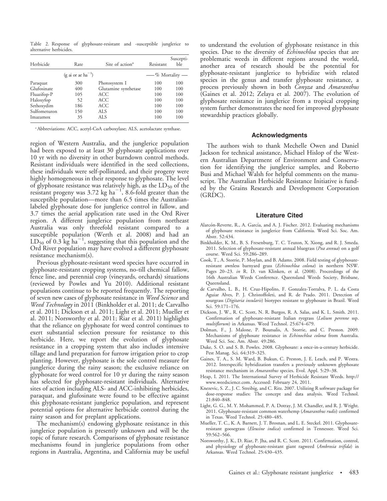Table 2. Response of glyphosate-resistant and -susceptible junglerice to alternative herbicides.

| Herbicide    | Rate                           | Site of action <sup>a</sup> | Resistant                     | Suscepti-<br>ble. |
|--------------|--------------------------------|-----------------------------|-------------------------------|-------------------|
|              | $(g \text{ ai or ae ha}^{-1})$ |                             | $-\infty$ Mortality $-\infty$ |                   |
| Paraquat     | 300                            | Photosystem I               | 100                           | 100               |
| Glufosinate  | 400                            | Glutamine synthetase        | 100                           | 100               |
| Fluazifop-P  | 105                            | <b>ACC</b>                  | 100                           | 100               |
| Haloxyfop    | 52                             | <b>ACC</b>                  | 100                           | 100               |
| Sethoxydim   | 186                            | <b>ACC</b>                  | 100                           | 100               |
| Sulfometuron | 150                            | ALS.                        | 100                           | 100               |
| Imazamox     | 35                             | ALS.                        | 100                           | 100               |

<sup>a</sup> Abbreviations: ACC, acetyl-CoA carboxylase; ALS, acetolactate synthase.

region of Western Australia, and the junglerice population had been exposed to at least 30 glyphosate applications over 10 yr with no diversity in other burndown control methods. Resistant individuals were identified in the seed collections, these individuals were self-pollinated, and their progeny were highly homogeneous in their response to glyphosate. The level of glyphosate resistance was relatively high, as the  $LD_{50}$  of the resistant progeny was 3.72 kg ha<sup> $-1$ </sup>, 8.6-fold greater than the susceptible population—more than 6.5 times the Australianlabeled glyphosate dose for junglerice control in fallow, and 3.7 times the aerial application rate used in the Ord River region. A different junglerice population from northeast Australia was only threefold resistant compared to a susceptible population (Werth et al. 2008) and had an  $LD_{50}$  of 0.3 kg ha<sup>-1</sup>, suggesting that this population and the Ord River population may have evolved a different glyphosate resistance mechanism(s).

Previous glyphosate-resistant weed species have occurred in glyphosate-resistant cropping systems, no-till chemical fallow, fence line, and perennial crop (vineyards, orchards) situations (reviewed by Powles and Yu 2010). Additional resistant populations continue to be reported frequently. The reporting of seven new cases of glyphosate resistance in Weed Science and Weed Technology in 2011 (Binkholder et al. 2011; de Carvalho et al. 2011; Dickson et al. 2011; Light et al. 2011; Mueller et al. 2011; Norsworthy et al. 2011; Riar et al. 2011) highlights that the reliance on glyphosate for weed control continues to exert substantial selection pressure for resistance to this herbicide. Here, we report the evolution of glyphosate resistance in a cropping system that also includes intensive tillage and land preparation for furrow irrigation prior to crop planting. However, glyphosate is the sole control measure for junglerice during the rainy season; the exclusive reliance on glyphosate for weed control for 10 yr during the rainy season has selected for glyphosate-resistant individuals. Alternative sites of action including ALS- and ACC-inhibiting herbicides, paraquat, and glufosinate were found to be effective against this glyphosate-resistant junglerice population, and represent potential options for alternative herbicide control during the rainy season and for preplant applications.

The mechanism(s) endowing glyphosate resistance in this junglerice population is presently unknown and will be the topic of future research. Comparisons of glyphosate resistance mechanisms found in junglerice populations from other regions in Australia, Argentina, and California may be useful

to understand the evolution of glyphosate resistance in this species. Due to the diversity of *Echinochloa* species that are problematic weeds in different regions around the world, another area of research should be the potential for glyphosate-resistant junglerice to hybridize with related species in the genus and transfer glyphosate resistance, a process previously shown in both Conyza and Amaranthus (Gaines et al. 2012; Zelaya et al. 2007). The evolution of glyphosate resistance in junglerice from a tropical cropping system further demonstrates the need for improved glyphosate stewardship practices globally.

## Acknowledgments

The authors wish to thank Mechelle Owen and Daniel Jackson for technical assistance, Michael Hislop of the Western Australian Department of Environment and Conservation for identifying the junglerice samples, and Roberto Busi and Michael Walsh for helpful comments on the manuscript. The Australian Herbicide Resistance Initiative is funded by the Grains Research and Development Corporation (GRDC).

#### Literature Cited

- Alarcón-Reverte, R., A. García, and A. J. Fischer. 2012. Evaluating mechanisms of glyphosate resistance in junglerice from California. Weed Sci. Soc. Am. Abstr. 52:434.
- Binkholder, K. M., B. S. Fresenburg, T. C. Teuton, X. Xiong, and R. J. Smeda. 2011. Selection of glyphosate-resistant annual bluegrass (Poa annua) on a golf course. Weed Sci. 59:286–289.
- Cook, T., A. Storrie, P. Moylan, and B. Adams. 2008. Field testing of glyphosateresistant awnless barnyard grass (Echinochloa colona) in northern NSW. Pages 20-23. in R. D. van Klinken, et al. (2008). Proceedings of the 16th Australian Weeds Conference. Queensland Weeds Society, Brisbane, Queensland.
- de Carvalho, L. B., H. Cruz-Hipolito, F. Gonzalez-Torralva, P. L. da Costa Aguiar Alves, P. J. Christoffoleti, and R. de Prado. 2011. Detection of sourgrass (Digitaria insularis) biotypes resistant to glyphosate in Brazil. Weed Sci. 59:171–176.
- Dickson, J. W., R. C. Scott, N. R. Burgos, R. A. Salas, and K. L. Smith. 2011. Confirmation of glyphosate-resistant Italian ryegrass (Lolium perenne ssp. multiflorum) in Arkansas. Weed Technol. 25:674–679.
- Dolman, F., J. Malone, P. Boutsalis, A. Storrie, and C. Preston. 2009. Mechanisms of glyphosate resistance in Echinochloa colona from Australia. Weed Sci. Soc. Am. Abstr. 49:286.
- Duke, S. O. and S. B. Powles. 2008. Glyphosate: a once-in-a-century herbicide. Pest Manag. Sci. 64:319–325.
- Gaines, T. A., S. M. Ward, B. Bukun, C. Preston, J. E. Leach, and P. Westra. 2012. Interspecific hybridization transfers a previously unknown glyphosate resistance mechanism in Amaranthus species. Evol. Appl. 5:29-38.
- Heap, I. 2011. The International Survey of Herbicide Resistant Weeds. http:// www.weedscience.com. Accessed: February 24, 2011.
- Knezevic, S. Z., J. C. Streibig, and C. Ritz. 2007. Utilizing R software package for dose-response studies: The concept and data analysis. Weed Technol. 21:840–848.
- Light, G. G., M. Y. Mohammed, P. A. Dotray, J. M. Chandler, and R. J. Wright. 2011. Glyphosate-resistant common waterhemp (Amaranthus rudis) confirmed in Texas. Weed Technol. 25:480–485.
- Mueller, T. C., K. A. Barnett, J. T. Brosnan, and L. E. Steckel. 2011. Glyphosateresistant goosegrass (Eleusine indica) confirmed in Tennessee. Weed Sci. 59:562–566.
- Norsworthy, J. K., D. Riar, P. Jha, and R. C. Scott. 2011. Confirmation, control, and physiology of glyphosate-resistant giant ragweed (Ambrosia trifida) in Arkansas. Weed Technol. 25:430–435.